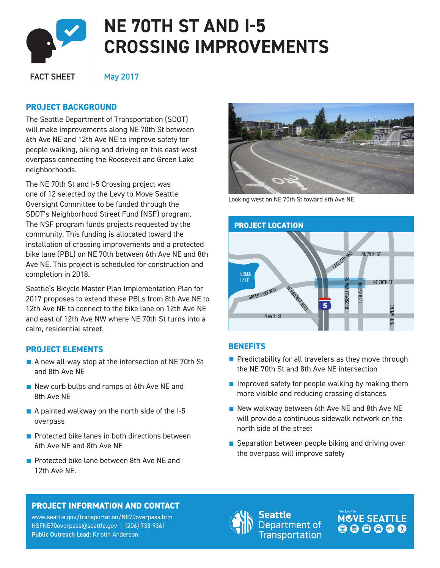

# **NE 70TH ST AND I-5 CROSSING IMPROVEMENTS**

FACT SHEET

May 2017

## **PROJECT BACKGROUND**

E<br>:a will make improvements along NE 70th St between 6th Ave NE and 12th Ave NE to improve safety for The Seattle Department of Transportation (SDOT) people walking, biking and driving on this east-west overpass connecting the Roosevelt and Green Lake neighborhoods.

The NE 70th St and I-5 Crossing project was one of 12 selected by the Levy to Move Seattle Oversight Committee to be funded through the SDOT's [Neighborhood Street Fund](http://www.seattle.gov/transportation/nsf.htm) (NSF) program. The NSF program funds projects requested by the community. This funding is allocated toward the installation of crossing improvements and a protected bike lane (PBL) on NE 70th between 6th Ave NE and 8th Ave NE. This project is scheduled for construction and completion in 2018.

Seattle's Bicycle Master Plan Implementation Plan for 2017 proposes to extend these PBLs from 8th Ave NE to 12th Ave NE to connect to the bike lane on 12th Ave NE and east of 12th Ave NW where NE 70th St turns into a calm, residential street.

# **PROJECT ELEMENTS**

- A new all-way stop at the intersection of NE 70th St and 8th Ave NE
- New curb bulbs and ramps at 6th Ave NE and 8th Ave NE
- A painted walkway on the north side of the I-5 overpass
- Protected bike lanes in both directions between 6th Ave NE and 8th Ave NE
- Protected bike lane between 8th Ave NF and 12th Ave NE.



Looking west on NE 70th St toward 6th Ave NE



### **BENEFITS**

- Predictability for all travelers as they move through the NE 70th St and 8th Ave NE intersection
- $\blacksquare$  Improved safety for people walking by making them more visible and reducing crossing distances
- New walkway between 6th Ave NE and 8th Ave NE will provide a continuous sidewalk network on the north side of the street
- Separation between people biking and driving over the overpass will improve safety

# **PROJECT INFORMATION AND CONTACT**

www.seattle.gov/transportation/NE70overpass.ht[m](http://www.seattle.gov/transportation/2ndavepbl_belltown.htm) NSFNE70overpass@seattle.gov | (206) 733-9361 **Public Outreach Lead:** Kristin Anderson



eattle Department of **Transportation**  MCVE SEATTLE 000000